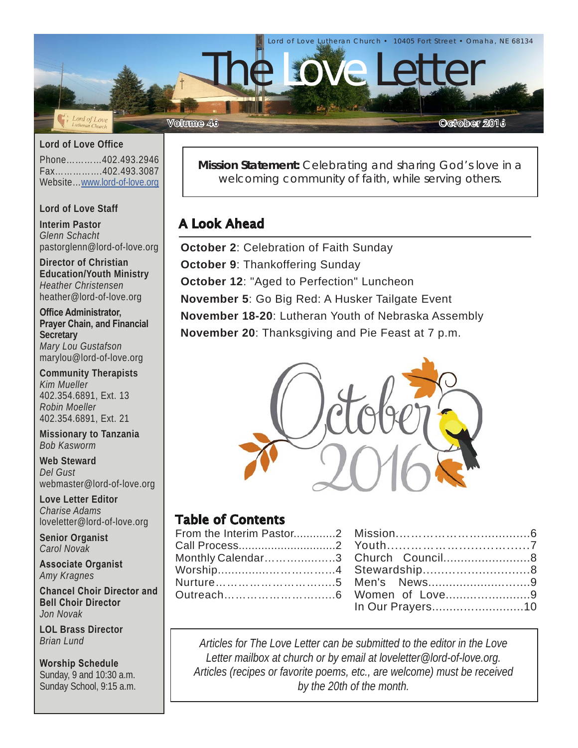

#### **Lord of Love Office**

Phone…………402.493.2946 Fax…………….402.493.3087 Website…[www.lord-of-love.org](http://www.lord-of-love.org)

#### **Lord of Love Staff**

**Interim Pastor** *Glenn Schacht* pastorglenn@lord-of-love.org

**Director of Christian Education/Youth Ministry** *Heather Christensen* heather@lord-of-love.org

**Office Administrator, Prayer Chain, and Financial Secretary** *Mary Lou Gustafson* marylou@lord-of-love.org

**Community Therapists** *Kim Mueller* 402.354.6891, Ext. 13 *Robin Moeller* 402.354.6891, Ext. 21

**Missionary to Tanzania** *Bob Kasworm*

**Web Steward** *Del Gust* webmaster@lord-of-love.org

**Love Letter Editor** *Charise Adams* loveletter@lord-of-love.org

**Senior Organist** *Carol Novak*

**Associate Organist** *Amy Kragnes*

**Chancel Choir Director and Bell Choir Director** *Jon Novak*

**LOL Brass Director** *Brian Lund*

#### **Worship Schedule**

Sunday, 9 and 10:30 a.m. Sunday School, 9:15 a.m. **Mission Statement:** Celebrating and sharing God's love in a welcoming community of faith, while serving others.

### A Look Ahead

**October 2**: Celebration of Faith Sunday **October 9**: Thankoffering Sunday **October 12: "Aged to Perfection" Luncheon November 5**: Go Big Red: A Husker Tailgate Event **November 18-20**: Lutheran Youth of Nebraska Assembly **November 20**: Thanksgiving and Pie Feast at 7 p.m.



### Table of Contents

| Monthly Calendar3 Church Council8 |                  |  |
|-----------------------------------|------------------|--|
|                                   |                  |  |
|                                   |                  |  |
|                                   |                  |  |
|                                   | In Our Prayers10 |  |

*Articles for The Love Letter can be submitted to the editor in the Love Letter mailbox at church or by email at loveletter@lord-of-love.org. Articles (recipes or favorite poems, etc., are welcome) must be received by the 20th of the month.*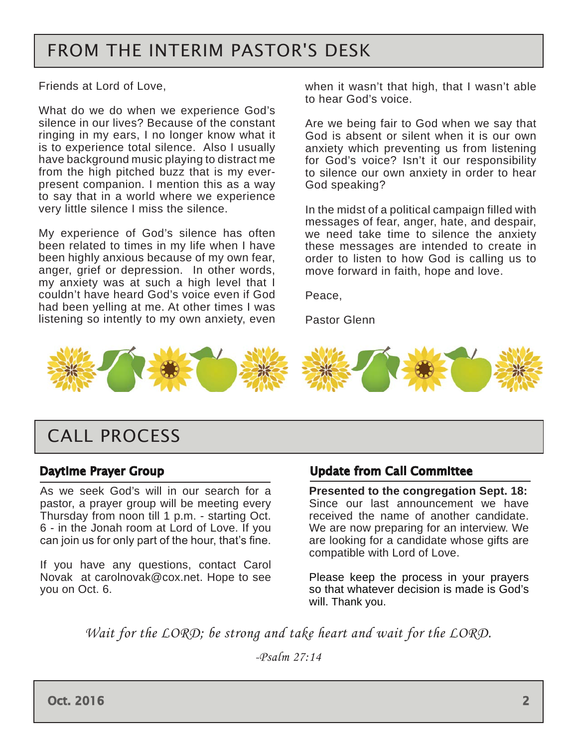# <span id="page-1-0"></span>FROM THE INTERIM PASTOR'S DESK

Friends at Lord of Love,

What do we do when we experience God's silence in our lives? Because of the constant ringing in my ears, I no longer know what it is to experience total silence. Also I usually have background music playing to distract me from the high pitched buzz that is my everpresent companion. I mention this as a way to say that in a world where we experience very little silence I miss the silence.

My experience of God's silence has often been related to times in my life when I have been highly anxious because of my own fear, anger, grief or depression. In other words, my anxiety was at such a high level that I couldn't have heard God's voice even if God had been yelling at me. At other times I was listening so intently to my own anxiety, even when it wasn't that high, that I wasn't able to hear God's voice.

Are we being fair to God when we say that God is absent or silent when it is our own anxiety which preventing us from listening for God's voice? Isn't it our responsibility to silence our own anxiety in order to hear God speaking?

In the midst of a political campaign filled with messages of fear, anger, hate, and despair, we need take time to silence the anxiety these messages are intended to create in order to listen to how God is calling us to move forward in faith, hope and love.

Peace,

Pastor Glenn



## CALL PROCESS

#### Daytime Prayer Group

As we seek God's will in our search for a pastor, a prayer group will be meeting every Thursday from noon till 1 p.m. - starting Oct. 6 - in the Jonah room at Lord of Love. If you can join us for only part of the hour, that's fine.

If you have any questions, contact Carol Novak at carolnovak@cox.net. Hope to see you on Oct. 6.

#### Update from Call Committee

**Presented to the congregation Sept. 18:**  Since our last announcement we have received the name of another candidate. We are now preparing for an interview. We are looking for a candidate whose gifts are compatible with Lord of Love.

Please keep the process in your prayers so that whatever decision is made is God's will. Thank you.

*Wait for the LORD; be strong and take heart and wait for the LORD.*

*-Psalm 27:14*

Oct. 2016 2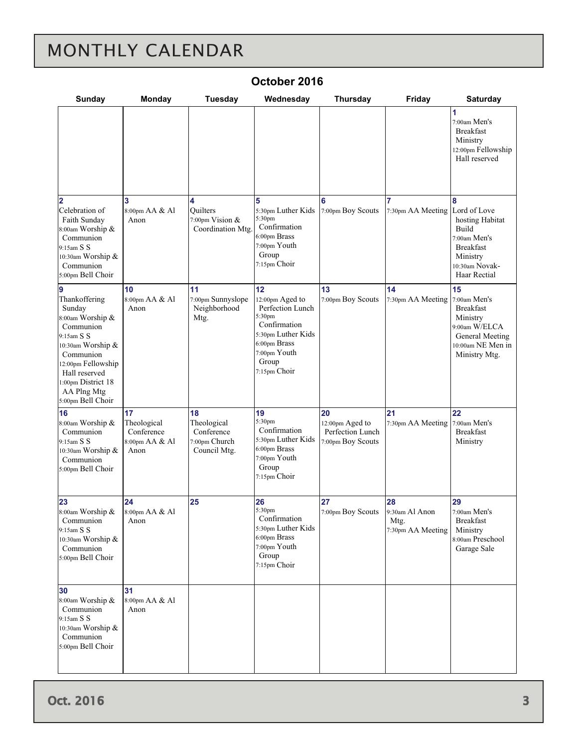# <span id="page-2-0"></span>MONTHLY CALENDAR

| Sunday                                                                                                                                                                                                    | <b>Monday</b>                                             | <b>Tuesday</b>                                                   | Wednesday                                                                                                                                          | <b>Thursday</b>                                                | Friday                                            | <b>Saturday</b>                                                                                                                        |
|-----------------------------------------------------------------------------------------------------------------------------------------------------------------------------------------------------------|-----------------------------------------------------------|------------------------------------------------------------------|----------------------------------------------------------------------------------------------------------------------------------------------------|----------------------------------------------------------------|---------------------------------------------------|----------------------------------------------------------------------------------------------------------------------------------------|
|                                                                                                                                                                                                           |                                                           |                                                                  |                                                                                                                                                    |                                                                |                                                   | 1<br>7:00am Men's<br><b>Breakfast</b><br>Ministry<br>12:00pm Fellowship<br>Hall reserved                                               |
| $\overline{2}$<br>Celebration of<br>Faith Sunday<br>8:00am Worship &<br>Communion<br>9:15am S S<br>10:30am Worship &<br>Communion<br>5:00pm Bell Choir                                                    | 3<br>8:00pm AA & Al<br>Anon                               | 4<br><b>Ouilters</b><br>7:00pm Vision &<br>Coordination Mtg.     | 5<br>5:30pm Luther Kids<br>5:30pm<br>Confirmation<br>6:00pm Brass<br>7:00pm Youth<br>Group<br>7:15pm Choir                                         | 6<br>7:00pm Boy Scouts                                         | 7:30pm AA Meeting                                 | 8<br>Lord of Love<br>hosting Habitat<br><b>Build</b><br>7:00am Men's<br><b>Breakfast</b><br>Ministry<br>10:30am Novak-<br>Haar Rectial |
| Thankoffering<br>Sunday<br>8:00am Worship &<br>Communion<br>9:15am S S<br>10:30am Worship &<br>Communion<br>12:00pm Fellowship<br>Hall reserved<br>1:00pm District 18<br>AA Plng Mtg<br>5:00pm Bell Choir | 10<br>8:00pm AA & Al<br>Anon                              | 11<br>7:00pm Sunnyslope<br>Neighborhood<br>Mtg.                  | 12<br>12:00pm Aged to<br>Perfection Lunch<br>5:30pm<br>Confirmation<br>5:30pm Luther Kids<br>6:00pm Brass<br>7:00pm Youth<br>Group<br>7:15pm Choir | 13<br>7:00pm Boy Scouts                                        | 14<br>7:30pm AA Meeting                           | 15<br>7:00am Men's<br><b>Breakfast</b><br>Ministry<br>9:00am W/ELCA<br>General Meeting<br>10:00am NE Men in<br>Ministry Mtg.           |
| 16<br>8:00am Worship &<br>Communion<br>9:15am S S<br>10:30am Worship &<br>Communion<br>5:00pm Bell Choir                                                                                                  | 17<br>Theological<br>Conference<br>8:00pm AA & Al<br>Anon | 18<br>Theological<br>Conference<br>7:00pm Church<br>Council Mtg. | 19<br>5:30pm<br>Confirmation<br>5:30pm Luther Kids<br>6:00pm Brass<br>7:00pm Youth<br>Group<br>7:15pm Choir                                        | 20<br>12:00pm Aged to<br>Perfection Lunch<br>7:00pm Boy Scouts | 21<br>7:30pm AA Meeting                           | 22<br>7:00am Men's<br><b>Breakfast</b><br>Ministry                                                                                     |
| 23<br>8:00am Worship &<br>Communion<br>9:15am S S<br>10:30am Worship &<br>Communion<br>5:00pm Bell Choir                                                                                                  | 24<br>8:00pm AA & Al<br>Anon                              | 25                                                               | 26<br>5:30pm<br>Confirmation<br>5:30pm Luther Kids<br>6:00pm Brass<br>7:00pm Youth<br>Group<br>7:15pm Choir                                        | 27<br>7:00pm Boy Scouts                                        | 28<br>9:30am Al Anon<br>Mtg.<br>7:30pm AA Meeting | 29<br>7:00am Men's<br><b>Breakfast</b><br>Ministry<br>8:00am Preschool<br>Garage Sale                                                  |
| 30<br>8:00am Worship &<br>Communion<br>9:15am S S<br>10:30am Worship &<br>Communion<br>5:00pm Bell Choir                                                                                                  | 31<br>8:00pm AA & Al<br>Anon                              |                                                                  |                                                                                                                                                    |                                                                |                                                   |                                                                                                                                        |

#### **October 2016**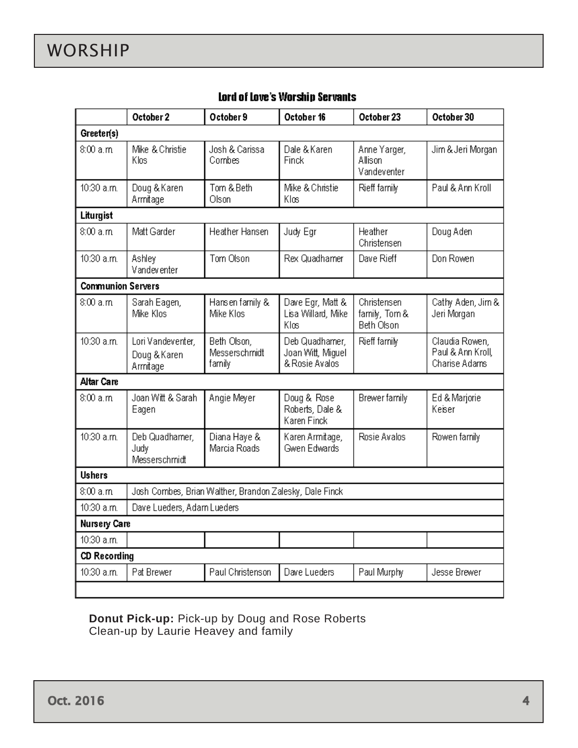<span id="page-3-0"></span>

|                                                                      | October 2                                     | October 9                              | October 16                                            | October 23                                 | October 30                                           |  |  |  |
|----------------------------------------------------------------------|-----------------------------------------------|----------------------------------------|-------------------------------------------------------|--------------------------------------------|------------------------------------------------------|--|--|--|
| Greeter(s)                                                           |                                               |                                        |                                                       |                                            |                                                      |  |  |  |
| 8:00a.m                                                              | Mike & Christie<br>Klos                       | Josh & Carissa<br>Combes               | Dale & Karen<br>Finck                                 | Anne Yarger,<br>Allison<br>Vandeventer     | Jim & Jeri Morgan                                    |  |  |  |
| 10:30 a.m.                                                           | Doug & Karen<br>Armitage                      | Tom & Beth<br>Olson                    | Mike & Christie<br>Klos                               | Rieff family                               | Paul & Ann Kroll                                     |  |  |  |
| Liturgist                                                            |                                               |                                        |                                                       |                                            |                                                      |  |  |  |
| 8:00a.m                                                              | Matt Garder                                   | Heather Hansen                         | Judy Egr                                              | Heather<br>Christensen                     | Doug Aden                                            |  |  |  |
| 10:30 a.m.                                                           | Ashley<br>Vandeventer                         | Tom Olson                              | Rex Quadhamer                                         | Dave Rieff                                 | Don Rowen                                            |  |  |  |
| <b>Communion Servers</b>                                             |                                               |                                        |                                                       |                                            |                                                      |  |  |  |
| 8:00a.m                                                              | Sarah Eagen,<br>Mike Klos                     | Hansen family &<br>Mike Klos           | Dave Egr, Matt &<br>Lisa Willard, Mike<br>Klos        | Christensen<br>family, Tom &<br>Beth Olson | Cathy Aden, Jim &<br>Jeri Morgan                     |  |  |  |
| 10:30 a.m.                                                           | Lori Vandeventer,<br>Doug & Karen<br>Armitage | Beth Olson,<br>Messerschmidt<br>family | Deb Quadhamer,<br>Joan Witt, Miguel<br>& Rosie Avalos | Rieff family                               | Claudia Rowen,<br>Paul & Ann Kroll,<br>Charise Adams |  |  |  |
| Altar Care                                                           |                                               |                                        |                                                       |                                            |                                                      |  |  |  |
| 8:00a.m                                                              | Joan Witt & Sarah<br>Eagen                    | Angie Meyer                            | Doug & Rose<br>Roberts, Dale &<br>Karen Finck         | Brewer family                              | Ed & Marjorie<br>Keiser                              |  |  |  |
| 10:30 a.m.                                                           | Deb Quadhamer,<br>Judy<br>Messerschmidt       | Diana Haye &<br>Marcia Roads           | Karen Armitage,<br>Gwen Edwards                       | Rosie Avalos                               | Rowen family                                         |  |  |  |
| <b>Ushers</b>                                                        |                                               |                                        |                                                       |                                            |                                                      |  |  |  |
| Josh Combes, Brian Walther, Brandon Zalesky, Dale Finck<br>8:00 a.m. |                                               |                                        |                                                       |                                            |                                                      |  |  |  |
| 10:30 a.m.                                                           | Dave Lueders, Adam Lueders                    |                                        |                                                       |                                            |                                                      |  |  |  |
| <b>Nursery Care</b>                                                  |                                               |                                        |                                                       |                                            |                                                      |  |  |  |
| 10:30 a.m.                                                           |                                               |                                        |                                                       |                                            |                                                      |  |  |  |
| <b>CD Recording</b>                                                  |                                               |                                        |                                                       |                                            |                                                      |  |  |  |
| 10:30 a.m.                                                           | Pat Brewer                                    | Paul Christenson                       | Dave Lueders                                          | Paul Murphy                                | Jesse Brewer                                         |  |  |  |
|                                                                      |                                               |                                        |                                                       |                                            |                                                      |  |  |  |

#### Lord of Love's Worship Servants

**Donut Pick-up:** Pick-up by Doug and Rose Roberts Clean-up by Laurie Heavey and family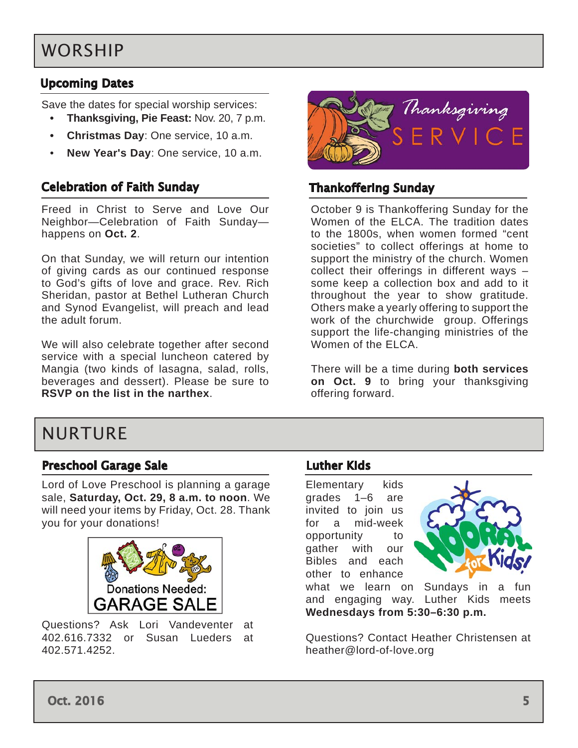# <span id="page-4-0"></span>WORSHIP

### Upcoming Dates

Save the dates for special worship services:

- **• Thanksgiving, Pie Feast:** Nov. 20, 7 p.m.
- **• Christmas Day**: One service, 10 a.m.
- **New Year's Day**: One service, 10 a.m.

### Celebration of Faith Sunday

Freed in Christ to Serve and Love Our Neighbor—Celebration of Faith Sunday happens on **Oct. 2**.

On that Sunday, we will return our intention of giving cards as our continued response to God's gifts of love and grace. Rev. Rich Sheridan, pastor at Bethel Lutheran Church and Synod Evangelist, will preach and lead the adult forum.

We will also celebrate together after second service with a special luncheon catered by Mangia (two kinds of lasagna, salad, rolls, beverages and dessert). Please be sure to **RSVP on the list in the narthex**.



### Thankoffering Sunday

October 9 is Thankoffering Sunday for the Women of the ELCA. The tradition dates to the 1800s, when women formed "cent societies" to collect offerings at home to support the ministry of the church. Women collect their offerings in different ways – some keep a collection box and add to it throughout the year to show gratitude. Others make a yearly offering to support the work of the churchwide group. Offerings support the life-changing ministries of the Women of the ELCA.

There will be a time during **both services on Oct. 9** to bring your thanksgiving offering forward.

## NURTURE

#### Preschool Garage Sale

Lord of Love Preschool is planning a garage sale, **Saturday, Oct. 29, 8 a.m. to noon**. We will need your items by Friday, Oct. 28. Thank you for your donations!



Questions? Ask Lori Vandeventer at 402.616.7332 or Susan Lueders at 402.571.4252.

#### Luther Kids

Elementary kids grades 1–6 are invited to join us for a mid-week opportunity to gather with our Bibles and each other to enhance



what we learn on Sundays in a fun and engaging way. Luther Kids meets **Wednesdays from 5:30–6:30 p.m.** 

Questions? Contact Heather Christensen at heather@lord-of-love.org

Oct. 2016  $\sim$  5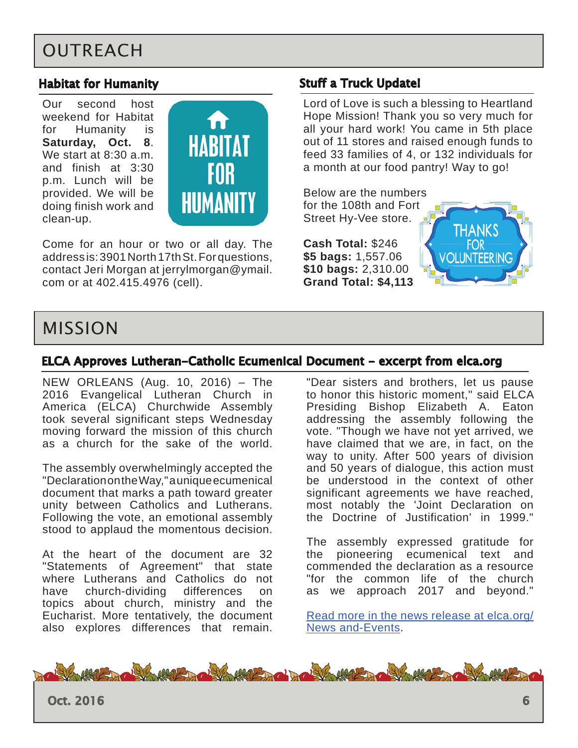# <span id="page-5-0"></span>**OUTREACH**

#### Habitat for Humanity

Our second host weekend for Habitat for Humanity is **Saturday, Oct. 8**. We start at 8:30 a.m. and finish at 3:30 p.m. Lunch will be provided. We will be doing finish work and clean-up.



Come for an hour or two or all day. The address is: 3901 North 17th St. For questions, contact Jeri Morgan at jerrylmorgan@ymail. com or at 402.415.4976 (cell).

#### Stuff a Truck Update!

Lord of Love is such a blessing to Heartland Hope Mission! Thank you so very much for all your hard work! You came in 5th place out of 11 stores and raised enough funds to feed 33 families of 4, or 132 individuals for a month at our food pantry! Way to go!

Below are the numbers for the 108th and Fort Street Hy-Vee store.

**Cash Total:** \$246 **\$5 bags:** 1,557.06 **\$10 bags:** 2,310.00 **Grand Total: \$4,113**



### MISSION

#### ELCA Approves Lutheran-Catholic Ecumenical Document - excerpt from elca.org

NEW ORLEANS (Aug. 10, 2016) – The 2016 Evangelical Lutheran Church in America (ELCA) Churchwide Assembly took several significant steps Wednesday moving forward the mission of this church as a church for the sake of the world.

The assembly overwhelmingly accepted the "Declaration on the Way," a unique ecumenical document that marks a path toward greater unity between Catholics and Lutherans. Following the vote, an emotional assembly stood to applaud the momentous decision.

At the heart of the document are 32 "Statements of Agreement" that state where Lutherans and Catholics do not have church-dividing differences on topics about church, ministry and the Eucharist. More tentatively, the document also explores differences that remain.

"Dear sisters and brothers, let us pause to honor this historic moment," said ELCA Presiding Bishop Elizabeth A. Eaton addressing the assembly following the vote. "Though we have not yet arrived, we have claimed that we are, in fact, on the way to unity. After 500 years of division and 50 years of dialogue, this action must be understood in the context of other significant agreements we have reached, most notably the 'Joint Declaration on the Doctrine of Justification' in 1999."

The assembly expressed gratitude for the pioneering ecumenical text and commended the declaration as a resource "for the common life of the church as we approach 2017 and beyond."

[Read more in the news release](http://www.elca.org/News-and-Events/7848) at elca.org/ News and-Events.



Oct. 2016  $\qquad \qquad 6$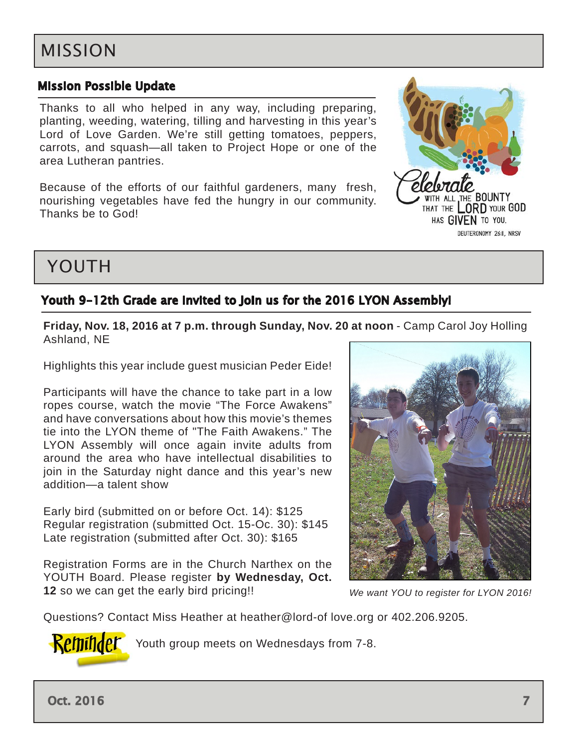### <span id="page-6-0"></span>Mission Possible Update

Thanks to all who helped in any way, including preparing, planting, weeding, watering, tilling and harvesting in this year's Lord of Love Garden. We're still getting tomatoes, peppers, carrots, and squash—all taken to Project Hope or one of the area Lutheran pantries.

Because of the efforts of our faithful gardeners, many fresh, nourishing vegetables have fed the hungry in our community. Thanks be to God!



# YOUTH

### Youth 9-12th Grade are Invited to Join us for the 2016 LYON Assembly!

#### **Friday, Nov. 18, 2016 at 7 p.m. through Sunday, Nov. 20 at noon** - Camp Carol Joy Holling Ashland, NE

Highlights this year include guest musician Peder Eide!

Participants will have the chance to take part in a low ropes course, watch the movie "The Force Awakens" and have conversations about how this movie's themes tie into the LYON theme of "The Faith Awakens." The LYON Assembly will once again invite adults from around the area who have intellectual disabilities to join in the Saturday night dance and this year's new addition—a talent show

Early bird (submitted on or before Oct. 14): \$125 Regular registration (submitted Oct. 15-Oc. 30): \$145 Late registration (submitted after Oct. 30): \$165

Registration Forms are in the Church Narthex on the YOUTH Board. Please register **by Wednesday, Oct. 12** so we can get the early bird pricing!!



*We want YOU to register for LYON 2016!*

Questions? Contact Miss Heather at heather@lord-of love.org or 402.206.9205.



**Reminder** Youth group meets on Wednesdays from 7-8.

Oct. 2016  $\sim$  7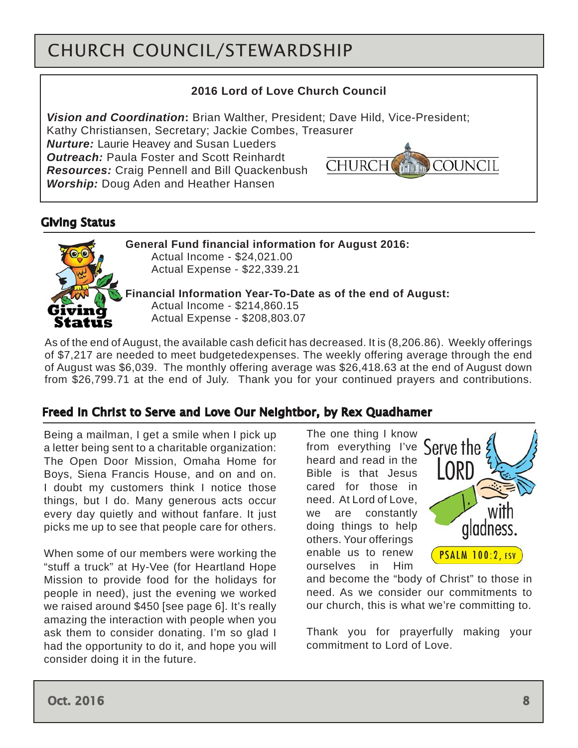# <span id="page-7-0"></span>CHURCH COUNCIL/STEWARDSHIP

### **2016 Lord of Love Church Council**

*Vision and Coordination***:** Brian Walther, President; Dave Hild, Vice-President;

Kathy Christiansen, Secretary; Jackie Combes, Treasurer

*Nurture:* Laurie Heavey and Susan Lueders **Outreach:** Paula Foster and Scott Reinhardt *Resources:* Craig Pennell and Bill Quackenbush *Worship:* Doug Aden and Heather Hansen



### Giving Status



**General Fund financial information for August 2016:**  Actual Income - \$24,021.00 Actual Expense - \$22,339.21

**Financial Information Year-To-Date as of the end of August:** Actual Income - \$214,860.15 Actual Expense - \$208,803.07

As of the end of August, the available cash deficit has decreased. It is (8,206.86). Weekly offerings of \$7,217 are needed to meet budgetedexpenses. The weekly offering average through the end of August was \$6,039. The monthly offering average was \$26,418.63 at the end of August down from \$26,799.71 at the end of July. Thank you for your continued prayers and contributions.

### Freed in Christ to Serve and Love Our Neightbor, by Rex Quadhamer

Being a mailman, I get a smile when I pick up a letter being sent to a charitable organization: The Open Door Mission, Omaha Home for Boys, Siena Francis House, and on and on. I doubt my customers think I notice those things, but I do. Many generous acts occur every day quietly and without fanfare. It just picks me up to see that people care for others.

When some of our members were working the "stuff a truck" at Hy-Vee (for Heartland Hope Mission to provide food for the holidays for people in need), just the evening we worked we raised around \$450 [see page 6]. It's really amazing the interaction with people when you ask them to consider donating. I'm so glad I had the opportunity to do it, and hope you will consider doing it in the future.

The one thing I know from everything I've Serve the heard and read in the Bible is that Jesus cared for those in need. At Lord of Love, we are constantly doing things to help others. Your offerings enable us to renew ourselves in Him



and become the "body of Christ" to those in need. As we consider our commitments to our church, this is what we're committing to.

Thank you for prayerfully making your commitment to Lord of Love.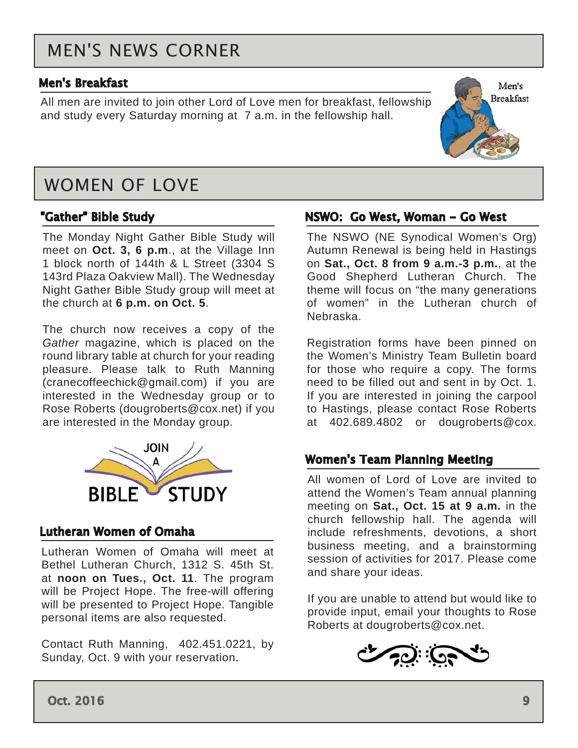# <span id="page-8-0"></span>MEN'S NEWS CORNER

#### Men's Breakfast

All men are invited to join other Lord of Love men for breakfast, fellowship and study every Saturday morning at 7 a.m. in the fellowship hall.



#### "Gather" Bible Study

The Monday Night Gather Bible Study will meet on **Oct. 3, 6 p.m**., at the Village Inn 1 block north of 144th & L Street (3304 S 143rd Plaza Oakview Mall). The Wednesday Night Gather Bible Study group will meet at the church at **6 p.m. on Oct. 5**.

The church now receives a copy of the *Gather* magazine, which is placed on the round library table at church for your reading pleasure. Please talk to Ruth Manning (cranecoffeechick@gmail.com) if you are interested in the Wednesday group or to Rose Roberts (dougroberts@cox.net) if you are interested in the Monday group.



#### Lutheran Women of Omaha

Lutheran Women of Omaha will meet at Bethel Lutheran Church, 1312 S. 45th St. at **noon on Tues., Oct. 11**. The program will be Project Hope. The free-will offering will be presented to Project Hope. Tangible personal items are also requested.

Contact Ruth Manning, 402.451.0221, by Sunday, Oct. 9 with your reservation.

#### NSWO: Go West, Woman - Go West

The NSWO (NE Synodical Women's Org) Autumn Renewal is being held in Hastings on **Sat., Oct. 8 from 9 a.m.-3 p.m.**, at the Good Shepherd Lutheran Church. The theme will focus on "the many generations of women" in the Lutheran church of Nebraska.

Men's **Breakfast** 

Registration forms have been pinned on the Women's Ministry Team Bulletin board for those who require a copy. The forms need to be filled out and sent in by Oct. 1. If you are interested in joining the carpool to Hastings, please contact Rose Roberts at 402.689.4802 or dougroberts@cox.

#### Women's Team Planning Meeting

All women of Lord of Love are invited to attend the Women's Team annual planning meeting on **Sat., Oct. 15 at 9 a.m.** in the church fellowship hall. The agenda will include refreshments, devotions, a short business meeting, and a brainstorming session of activities for 2017. Please come and share your ideas.

If you are unable to attend but would like to provide input, email your thoughts to Rose Roberts at dougroberts@cox.net.



Oct. 2016 9